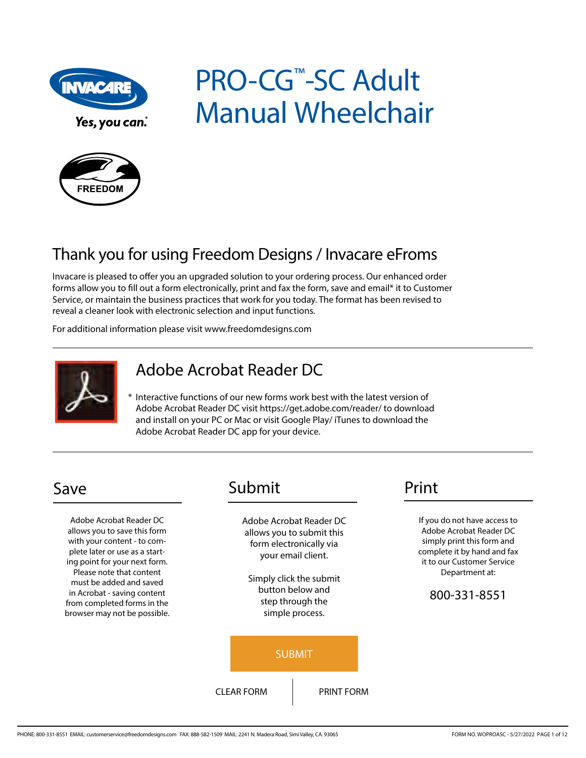

Yes, you can.

# PRO-CG™-SC Adult Manual Wheelchair



## Thank you for using Freedom Designs / Invacare eFroms

Invacare is pleased to offer you an upgraded solution to your ordering process. Our enhanced order forms allow you to fill out a form electronically, print and fax the form, save and email\* it to Customer Service, or maintain the business practices that work for you today. The format has been revised to reveal a cleaner look with electronic selection and input functions.

For additional information please visit www.freedomdesigns.com



## Adobe Acrobat Reader DC

\* Interactive functions of our new forms work best with the latest version of Adobe Acrobat Reader DC visit https://get.adobe.com/reader/ to download and install on your PC or Mac or visit Google Play/ iTunes to download the Adobe Acrobat Reader DC app for your device.

Adobe Acrobat Reader DC allows you to save this form with your content - to complete later or use as a starting point for your next form. Please note that content must be added and saved in Acrobat - saving content from completed forms in the browser may not be possible.

## Save Submit Print

Adobe Acrobat Reader DC allows you to submit this form electronically via your email client.

Simply click the submit button below and step through the simple process.



If you do not have access to Adobe Acrobat Reader DC simply print this form and complete it by hand and fax it to our Customer Service Department at:

#### 800-331-8551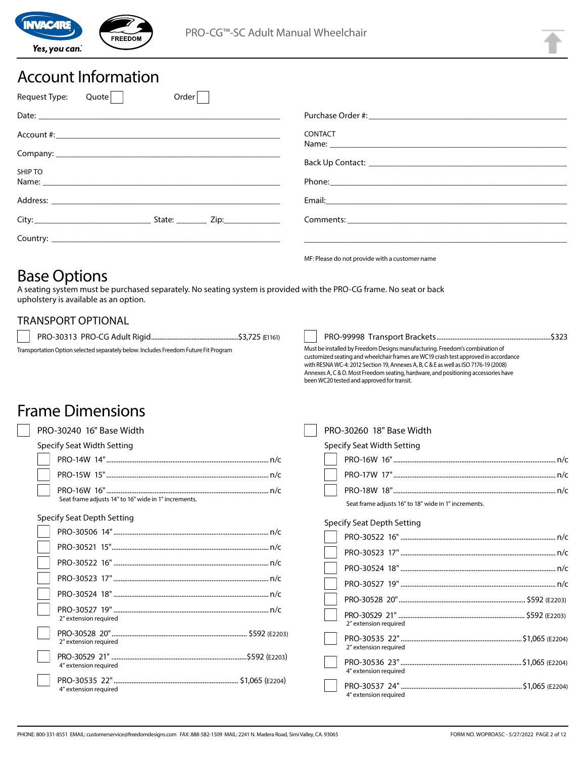

## Account Information

| Order<br>Request Type:<br>Quote |                                                |
|---------------------------------|------------------------------------------------|
|                                 |                                                |
|                                 | <b>CONTACT</b>                                 |
|                                 |                                                |
| SHIP TO                         |                                                |
|                                 |                                                |
|                                 |                                                |
|                                 |                                                |
|                                 | MF: Please do not provide with a customer name |

## Base Options

A seating system must be purchased separately. No seating system is provided with the PRO-CG frame. No seat or back upholstery is available as an option.

#### TRANSPORT OPTIONAL

PRO-30313 PRO-CG Adult Rigid ......................................................\$3,725 (E1161)

Transportation Option selected separately below. Includes Freedom Future Fit Program

# PRO-99998 Transport Brackets................................................................\$323

Must be installed by Freedom Designs manufacturing. Freedom's combination of customized seating and wheelchair frames are WC19 crash test approved in accordance with RESNA WC-4: 2012 Section 19, Annexes A, B, C & E as well as ISO 7176-19 (2008) Annexes A, C & D. Most Freedom seating, hardware, and positioning accessories have been WC20 tested and approved for transit.

## Frame Dimensions

| PRO-30240 16" Base Width                             | PRO-30260 18" Base Width                             |
|------------------------------------------------------|------------------------------------------------------|
| Specify Seat Width Setting                           | Specify Seat Width Setting                           |
|                                                      |                                                      |
|                                                      |                                                      |
| Seat frame adjusts 14" to 16" wide in 1" increments. | Seat frame adjusts 16" to 18" wide in 1" increments. |
| <b>Specify Seat Depth Setting</b>                    | <b>Specify Seat Depth Setting</b>                    |
|                                                      |                                                      |
|                                                      |                                                      |
|                                                      |                                                      |
|                                                      |                                                      |
|                                                      |                                                      |
| 2" extension required                                | 2" extension required                                |
| 2" extension required                                | 2" extension required                                |
| 4" extension required                                | 4" extension required                                |
| 4" extension required                                | 4" extension required                                |
|                                                      |                                                      |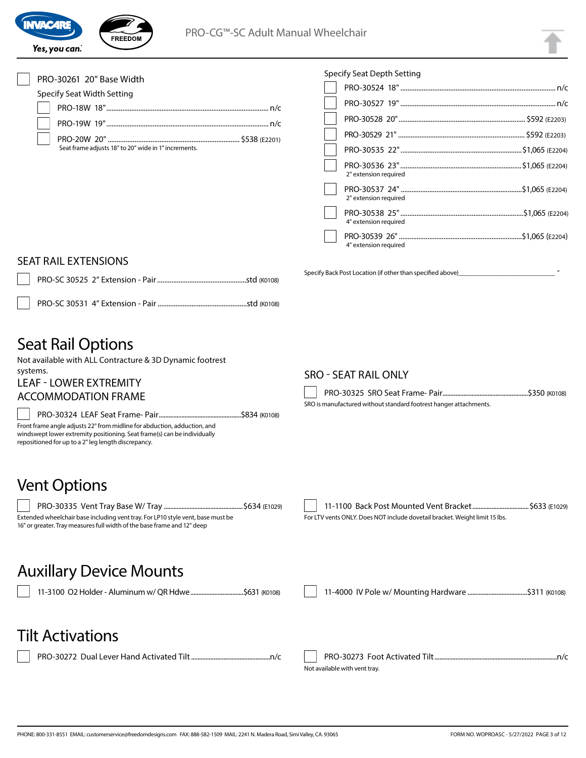



#### PRO-30261 20" Base Width

#### Specify Seat Width Setting

| Seat frame adjusts 18" to 20" wide in 1" increments. |  |
|------------------------------------------------------|--|

| 2" extension required |  |
|-----------------------|--|
| 2" extension required |  |
| 4" extension required |  |
| 4" extension required |  |

Specify Back Post Location (if other than specified above)

#### SEAT RAIL EXTENSIONS

PRO-SC 30531 4" Extension - Pair ..................................................std (K0108)

## Seat Rail Options

Not available with ALL Contracture & 3D Dynamic footrest systems.

## LEAF - LOWER EXTREMITY

#### ACCOMMODATION FRAME

PRO-30324 LEAF Seat Frame- Pair ...................................................\$834 (K0108) Front frame angle adjusts 22° from midline for abduction, adduction, and

windswept lower extremity positioning. Seat frame(s) can be individually repositioned for up to a 2" leg length discrepancy.

## Vent Options

PRO-30335 Vent Tray Base W/ Tray .................................................\$634 (E1029) Extended wheelchair base including vent tray. For LP10 style vent, base must be 16" or greater. Tray measures full width of the base frame and 12" deep

#### SRO - SEAT RAIL ONLY

Specify Seat Depth Setting

PRO-30325 SRO Seat Frame- Pair.....................................................\$350 (K0108)

SRO is manufactured without standard footrest hanger attachments.

11-1100 Back Post Mounted Vent Bracket ................................... \$633 (E1029) For LTV vents ONLY. Does NOT include dovetail bracket. Weight limit 15 lbs.

## Auxillary Device Mounts

11-3100 O2 Holder - Aluminum w/ QR Hdwe.................................\$631 (K0108) 11-4000 IV Pole w/ Mounting Hardware .....................................\$311 (K0108)

## Tilt Activations

PRO-30272 Dual Lever Hand Activated Tilt.................................................n/c PRO-30273 Foot Activated Tilt............................................................................n/c Not available with vent tray.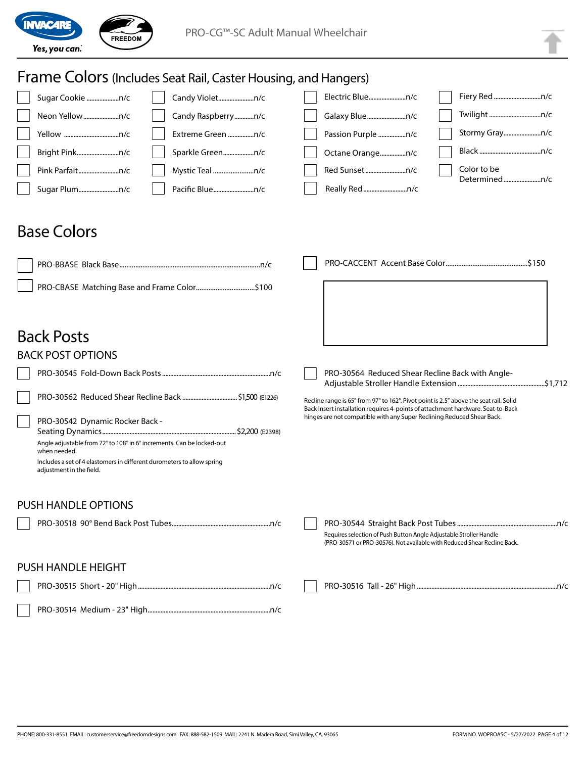

#### Frame Colors (Includes Seat Rail, Caster Housing, and Hangers) Sugar Cookie ....................n/c Neon Yellow......................n/c Yellow ..................................n/c Bright Pink..........................n/c Pink Parfait.........................n/c Sugar Plum.........................n/c Candy Violet......................n/c Candy Raspberry............n/c Extreme Green ................n/c Sparkle Green...................n/c Mystic Teal .......................n/c Pacific Blue.........................n/c Electric Blue.......................n/c Galaxy Blue........................n/c Passion Purple .................n/c Octane Orange................n/c Red Sunset.........................n/c Really Red...........................n/c Fiery Red.............................n/c Twilight................................n/c Stormy Gray.......................n/c Black ......................................n/c Color to be Determined.......................n/c Back Posts BACK POST OPTIONS PRO-30545 Fold-Down Back Posts...................................................................n/c PRO-30562 Reduced Shear Recline Back ..................................\$1,500 (E1226) PRO-30542 Dynamic Rocker Back - Seating Dynamics...................................................................................\$2,200 (E2398) Angle adjustable from 72° to 108° in 6° increments. Can be locked-out when needed. Includes a set of 4 elastomers in different durometers to allow spring adjustment in the field. PRO-30564 Reduced Shear Recline Back with Angle-Adjustable Stroller Handle Extension......................................................\$1,712 Recline range is 65° from 97° to 162°. Pivot point is 2.5" above the seat rail. Solid Back Insert installation requires 4-points of attachment hardware. Seat-to-Back hinges are not compatible with any Super Reclining Reduced Shear Back. PUSH HANDLE OPTIONS PRO-30518 90° Bend Back Post Tubes.............................................................n/c PRO-30544 Straight Back Post Tubes..............................................................n/c Requires selection of Push Button Angle Adjustable Stroller Handle (PRO-30571 or PRO-30576). Not available with Reduced Shear Recline Back. PUSH HANDLE HEIGHT PRO-30515 Short - 20" High..................................................................................n/c PRO-30514 Medium - 23" High............................................................................n/c PRO-30516 Tall - 26" High.......................................................................................n/c Base Colors PRO-BBASE Black Base ...............................................................................n/c PRO-CBASE Matching Base and Frame Color................................\$100 PRO-CACCENT Accent Base Color ..............................................\$150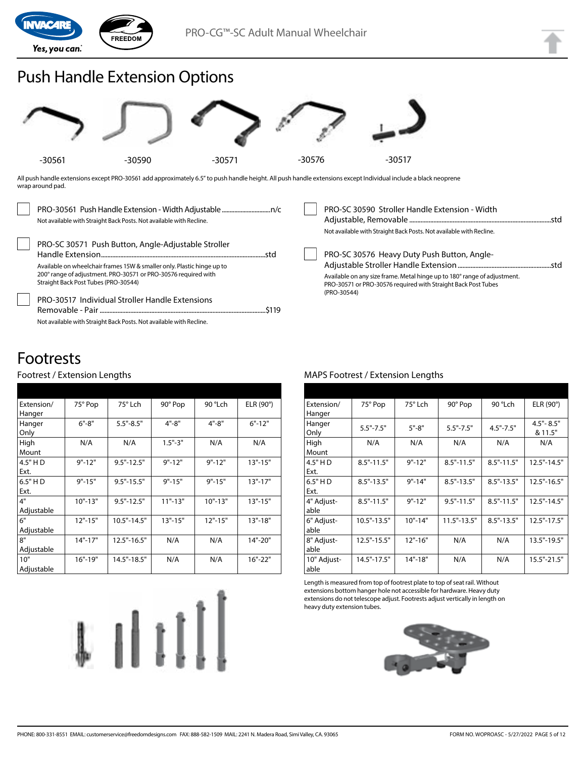

## Push Handle Extension Options



All push handle extensions except PRO-30561 add approximately 6.5" to push handle height. All push handle extensions except Individual include a black neoprene wrap around pad.

| Not available with Straight Back Posts. Not available with Recline.                                                                                                                                                                                                                                                                                                      | PRO-SC 30590 Stroller Handle Extension - Width<br>Not available with Straight Back Posts. Not available with Recline.                                                                                   |
|--------------------------------------------------------------------------------------------------------------------------------------------------------------------------------------------------------------------------------------------------------------------------------------------------------------------------------------------------------------------------|---------------------------------------------------------------------------------------------------------------------------------------------------------------------------------------------------------|
| PRO-SC 30571 Push Button, Angle-Adjustable Stroller<br>Available on wheelchair frames 15W & smaller only. Plastic hinge up to<br>200° range of adjustment. PRO-30571 or PRO-30576 required with<br>Straight Back Post Tubes (PRO-30544)<br><b>PRO-30517 Individual Stroller Handle Extensions</b><br>Not available with Straight Back Posts. Not available with Recline. | PRO-SC 30576 Heavy Duty Push Button, Angle-<br>Available on any size frame. Metal hinge up to 180° range of adjustment.<br>PRO-30571 or PRO-30576 required with Straight Back Post Tubes<br>(PRO-30544) |

## Footrests

#### Footrest / Extension Lengths

| Extension/ | 75° Pop     | $75^\circ$ Lch  | 90° Pop     | 90 °Lch     | ELR $(90^\circ)$ |
|------------|-------------|-----------------|-------------|-------------|------------------|
| Hanger     |             |                 |             |             |                  |
| Hanger     | $6" - 8"$   | $5.5" - 8.5"$   | $4" - 8"$   | $4" - 8"$   | $6" - 12"$       |
| Only       |             |                 |             |             |                  |
| High       | N/A         | N/A             | $1.5" - 3"$ | N/A         | N/A              |
| Mount      |             |                 |             |             |                  |
| 4.5" H D   | $9" - 12"$  | $9.5" - 12.5"$  | $9" - 12"$  | $9" - 12"$  | $13" - 15"$      |
| Ext.       |             |                 |             |             |                  |
| 6.5" HD    | $9" - 15"$  | $9.5 - 15.5$    | $9" - 15"$  | $9" - 15"$  | $13" - 17"$      |
| Ext.       |             |                 |             |             |                  |
| 4"         | $10" - 13"$ | $9.5" - 12.5"$  | $11" - 13"$ | $10" - 13"$ | $13" - 15"$      |
| Adjustable |             |                 |             |             |                  |
| 6"         | $12" - 15"$ | 10.5"-14.5"     | $13" - 15"$ | $12" - 15"$ | $13" - 18"$      |
| Adjustable |             |                 |             |             |                  |
| 8"         | $14" - 17"$ | $12.5" - 16.5"$ | N/A         | N/A         | 14"-20"          |
| Adjustable |             |                 |             |             |                  |
| 10"        | $16" - 19"$ | 14.5"-18.5"     | N/A         | N/A         | $16" - 22"$      |
| Adjustable |             |                 |             |             |                  |

# $\mathbb{I}[\mathbb{I}^{\dagger}]$

#### MAPS Footrest / Extension Lengths

| Extension/<br>Hanger | 75° Pop         | 75° Lch     | 90° Pop         | 90 °Lch        | ELR (90°)                |
|----------------------|-----------------|-------------|-----------------|----------------|--------------------------|
| Hanger<br>Only       | $5.5" - 7.5"$   | $5" - 8"$   | $5.5" - 7.5"$   | $4.5" - 7.5"$  | $4.5" - 8.5"$<br>& 11.5" |
| High<br>Mount        | N/A             | N/A         | N/A             | N/A            | N/A                      |
| 4.5" HD<br>Ext.      | $8.5" - 11.5"$  | $9" - 12"$  | $8.5" - 11.5"$  | $8.5" - 11.5"$ | $12.5" - 14.5"$          |
| 6.5" H D<br>Ext.     | $8.5" - 13.5"$  | $9" - 14"$  | $8.5" - 13.5"$  | $8.5" - 13.5"$ | $12.5" - 16.5"$          |
| 4" Adjust-<br>able   | $8.5" - 11.5"$  | $9" - 12"$  | $9.5" - 11.5"$  | $8.5" - 11.5"$ | $12.5" - 14.5"$          |
| 6" Adjust-<br>able   | $10.5" - 13.5"$ | $10" - 14"$ | $11.5" - 13.5"$ | $8.5" - 13.5"$ | $12.5" - 17.5"$          |
| 8" Adjust-<br>able   | 12.5"-15.5"     | $12" - 16"$ | N/A             | N/A            | 13.5"-19.5"              |
| 10" Adjust-<br>able  | 14.5"-17.5"     | 14"-18"     | N/A             | N/A            | 15.5"-21.5"              |

Length is measured from top of footrest plate to top of seat rail. Without extensions bottom hanger hole not accessible for hardware. Heavy duty extensions do not telescope adjust. Footrests adjust vertically in length on heavy duty extension tubes.

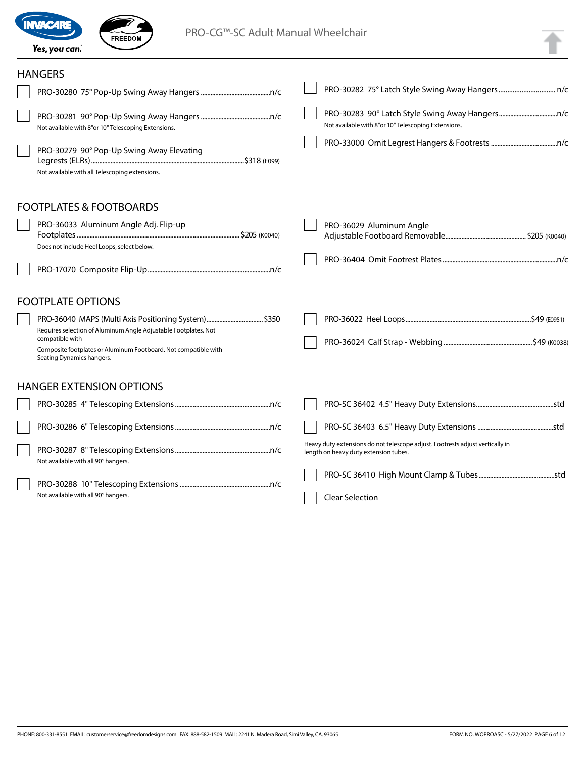

Not available with all 90° hangers.

 $\sqrt{2}$ 

FREEDOM

#### **HANGERS**

| HANGERS                                                                                                                                                                            |                                                                                                                        |  |
|------------------------------------------------------------------------------------------------------------------------------------------------------------------------------------|------------------------------------------------------------------------------------------------------------------------|--|
|                                                                                                                                                                                    |                                                                                                                        |  |
| Not available with 8"or 10" Telescoping Extensions.                                                                                                                                | Not available with 8"or 10" Telescoping Extensions.                                                                    |  |
| PRO-30279 90° Pop-Up Swing Away Elevating<br>Not available with all Telescoping extensions.                                                                                        |                                                                                                                        |  |
| <b>FOOTPLATES &amp; FOOTBOARDS</b>                                                                                                                                                 |                                                                                                                        |  |
| PRO-36033 Aluminum Angle Adj. Flip-up<br>Does not include Heel Loops, select below.                                                                                                | PRO-36029 Aluminum Angle                                                                                               |  |
|                                                                                                                                                                                    |                                                                                                                        |  |
| <b>FOOTPLATE OPTIONS</b>                                                                                                                                                           |                                                                                                                        |  |
| Requires selection of Aluminum Angle Adjustable Footplates. Not<br>compatible with<br>Composite footplates or Aluminum Footboard. Not compatible with<br>Seating Dynamics hangers. |                                                                                                                        |  |
| <b>HANGER EXTENSION OPTIONS</b>                                                                                                                                                    |                                                                                                                        |  |
|                                                                                                                                                                                    |                                                                                                                        |  |
|                                                                                                                                                                                    |                                                                                                                        |  |
| Not available with all 90° hangers.                                                                                                                                                | Heavy duty extensions do not telescope adjust. Footrests adjust vertically in<br>length on heavy duty extension tubes. |  |
|                                                                                                                                                                                    |                                                                                                                        |  |

Clear Selection

PHONE: 800-331-8551 EMAIL: customerservice@freedomdesigns.com FAX: 888-582-1509 MAIL: 2241 N. Madera Road, Simi Valley, CA. 93065 FORM NO. WOPROASC - 5/27/2022 PAGE 6 of 12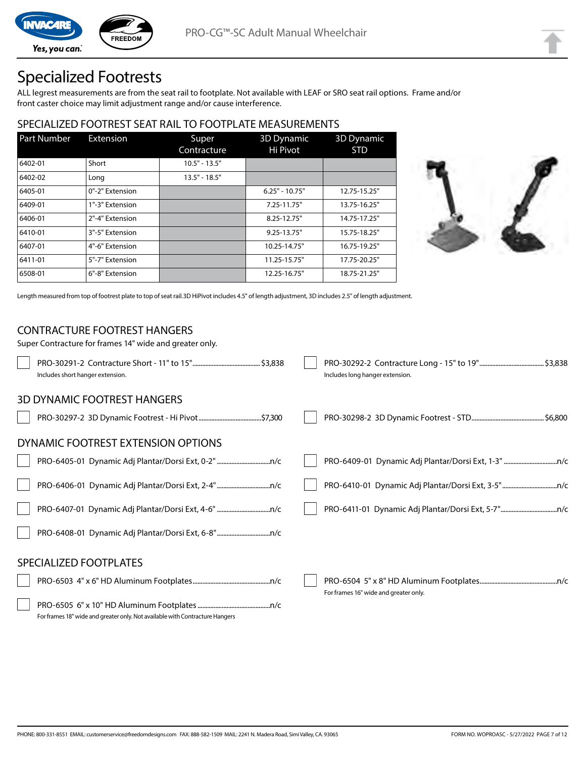Yes, you can.

## Specialized Footrests

**FREEDOM** 

ALL legrest measurements are from the seat rail to footplate. Not available with LEAF or SRO seat rail options. Frame and/or front caster choice may limit adjustment range and/or cause interference.

### SPECIALIZED FOOTREST SEAT RAIL TO FOOTPLATE MEASUREMENTS

| <b>Part Number</b> | Extension       | Super<br>Contracture | <b>3D Dynamic</b><br>Hi Pivot | <b>3D</b> Dynamic<br><b>STD</b> |
|--------------------|-----------------|----------------------|-------------------------------|---------------------------------|
| 6402-01            | Short           | $10.5" - 13.5"$      |                               |                                 |
| 6402-02            | Long            | $13.5" - 18.5"$      |                               |                                 |
| 6405-01            | 0"-2" Extension |                      | $6.25" - 10.75"$              | 12.75-15.25"                    |
| 6409-01            | 1"-3" Extension |                      | 7.25-11.75"                   | 13.75-16.25"                    |
| 6406-01            | 2"-4" Extension |                      | 8.25-12.75"                   | 14.75-17.25"                    |
| 6410-01            | 3"-5" Extension |                      | $9.25 - 13.75$ "              | 15.75-18.25"                    |
| 6407-01            | 4"-6" Extension |                      | 10.25-14.75"                  | 16.75-19.25"                    |
| 6411-01            | 5"-7" Extension |                      | 11.25-15.75"                  | 17.75-20.25"                    |
| 6508-01            | 6"-8" Extension |                      | 12.25-16.75"                  | 18.75-21.25"                    |



Length measured from top of footrest plate to top of seat rail.3D HiPivot includes 4.5" of length adjustment, 3D includes 2.5" of length adjustment.

#### CONTRACTURE FOOTREST HANGERS

| Super Contracture for frames 14" wide and greater only.                      |                                       |
|------------------------------------------------------------------------------|---------------------------------------|
| Includes short hanger extension.                                             | Includes long hanger extension.       |
| <b>3D DYNAMIC FOOTREST HANGERS</b>                                           |                                       |
|                                                                              |                                       |
| DYNAMIC FOOTREST EXTENSION OPTIONS                                           |                                       |
|                                                                              |                                       |
|                                                                              |                                       |
|                                                                              |                                       |
|                                                                              |                                       |
| SPECIALIZED FOOTPLATES                                                       |                                       |
|                                                                              | For frames 16" wide and greater only. |
| For frames 18" wide and greater only. Not available with Contracture Hangers |                                       |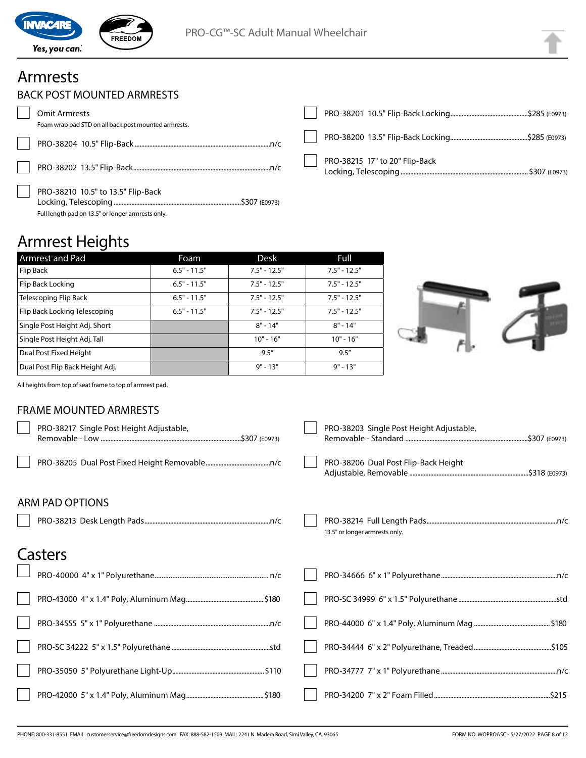

## Armrests

 $\sqrt{2}$ 

|  | BACK POST MOUNTED ARMRESTS |  |
|--|----------------------------|--|
|--|----------------------------|--|

| Omit Armrests                                                                           |                                |  |
|-----------------------------------------------------------------------------------------|--------------------------------|--|
| Foam wrap pad STD on all back post mounted armrests.                                    |                                |  |
|                                                                                         |                                |  |
|                                                                                         | PRO-38215 17" to 20" Flip-Back |  |
| PRO-38210 10.5" to 13.5" Flip-Back<br>Full length pad on 13.5" or longer armrests only. |                                |  |

## Armrest Heights

| Armrest and Pad                 | Foam           | Desk           | Full           |
|---------------------------------|----------------|----------------|----------------|
| Flip Back                       | $6.5" - 11.5"$ | $7.5" - 12.5"$ | $7.5" - 12.5"$ |
| Flip Back Locking               | $6.5" - 11.5"$ | $7.5" - 12.5"$ | $7.5" - 12.5"$ |
| Telescoping Flip Back           | $6.5" - 11.5"$ | $7.5" - 12.5"$ | $7.5" - 12.5"$ |
| Flip Back Locking Telescoping   | $6.5" - 11.5"$ | $7.5" - 12.5"$ | $7.5" - 12.5"$ |
| Single Post Height Adj. Short   |                | $8" - 14"$     | $8" - 14"$     |
| Single Post Height Adj. Tall    |                | $10" - 16"$    | $10" - 16"$    |
| Dual Post Fixed Height          |                | 9.5''          | 9.5''          |
| Dual Post Flip Back Height Adj. |                | $9" - 13"$     | $9" - 13"$     |



All heights from top of seat frame to top of armrest pad.

#### FRAME MOUNTED ARMRESTS

| PRO-38217 Single Post Height Adjustable, | PRO-38203 Single Post Height Adjustable, |
|------------------------------------------|------------------------------------------|
|                                          | PRO-38206 Dual Post Flip-Back Height     |
| <b>ARM PAD OPTIONS</b>                   |                                          |
|                                          | 13.5" or longer armrests only.           |
| Casters                                  |                                          |
|                                          |                                          |
|                                          |                                          |
|                                          |                                          |
|                                          |                                          |
|                                          |                                          |
|                                          |                                          |
|                                          |                                          |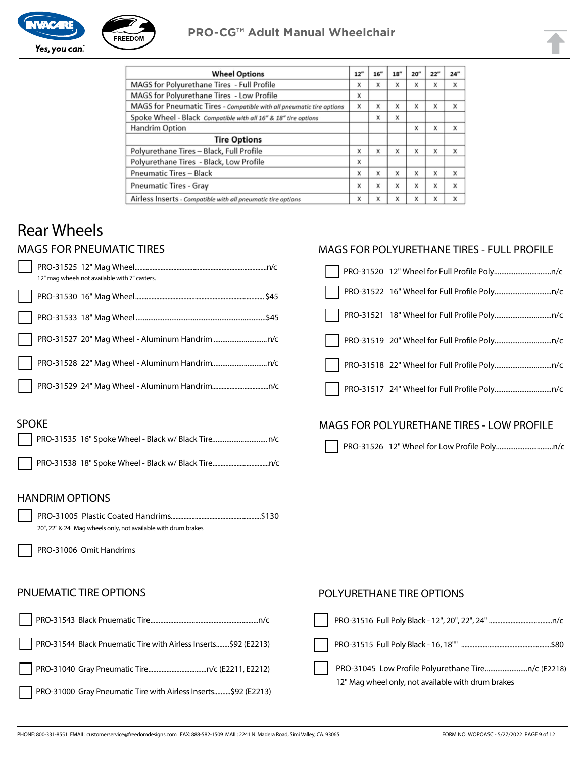

| <b>Wheel Options</b>                                                  | 12" | 16'' | 18" | 20'' | 22" | 24" |
|-----------------------------------------------------------------------|-----|------|-----|------|-----|-----|
| MAGS for Polyurethane Tires - Full Profile                            | x   | X    | X   | X    | X   | X   |
| MAGS for Polyurethane Tires - Low Profile                             | x   |      |     |      |     |     |
| MAGS for Pneumatic Tires - Compatible with all pneumatic tire options | X   | X    | x   | X    | X   | X   |
| Spoke Wheel - Black Compatible with all 16" & 18" tire options        |     | X    | X   |      |     |     |
| Handrim Option                                                        |     |      |     | X    | X   | x   |
| <b>Tire Options</b>                                                   |     |      |     |      |     |     |
| Polyurethane Tires - Black, Full Profile                              | x   | X    | X   | X    | X   | x   |
| Polyurethane Tires - Black, Low Profile                               | x   |      |     |      |     |     |
| <b>Pneumatic Tires - Black</b>                                        | x   | X    | X   | x    | X   | X   |
| <b>Pneumatic Tires - Gray</b>                                         |     | X    | X   | X    | X   | X   |
| Airless Inserts - Compatible with all pneumatic tire options          | x   | X    | X   | X    | X   | X   |

## Rear Wheels

#### MAGS FOR PNEUMATIC TIRES

|              | 12" mag wheels not available with 7" casters. |  |
|--------------|-----------------------------------------------|--|
|              |                                               |  |
|              |                                               |  |
|              |                                               |  |
| $\mathbf{L}$ |                                               |  |
| $\Box$       |                                               |  |

#### MAGS FOR POLYURETHANE TIRES - FULL PROFILE

#### SPOKE

#### MAGS FOR POLYURETHANE TIRES - LOW PROFILE

PRO-31526 12" Wheel for Low Profile Poly................................n/c

#### HANDRIM OPTIONS

PRO-31005 Plastic Coated Handrims........................................................\$130 20", 22" & 24" Mag wheels only, not available with drum brakes

PRO-31006 Omit Handrims

#### PNUEMATIC TIRE OPTIONS

|                                                                 | $\sim$ 1.1 |
|-----------------------------------------------------------------|------------|
| PRO-31544 Black Pnuematic Tire with Airless Inserts\$92 (E2213) | $\Box$     |
|                                                                 |            |
| PRO-31000 Gray Pneumatic Tire with Airless Inserts\$92 (E2213)  |            |

#### POLYURETHANE TIRE OPTIONS

| \$80                                               |
|----------------------------------------------------|
|                                                    |
| 12" Mag wheel only, not available with drum brakes |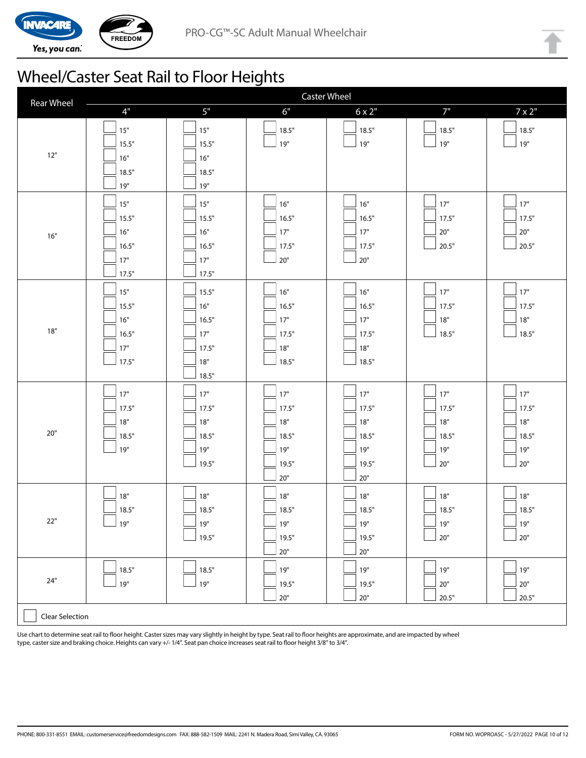



## Wheel/Caster Seat Rail to Floor Heights

| <b>Rear Wheel</b>      | <b>Caster Wheel</b>                              |                                                       |                                                         |                                                         |                                                |                                            |
|------------------------|--------------------------------------------------|-------------------------------------------------------|---------------------------------------------------------|---------------------------------------------------------|------------------------------------------------|--------------------------------------------|
|                        | $4"$                                             | $5"$                                                  | 6"                                                      | $6 \times 2"$                                           | 7"                                             | $7 \times 2$ "                             |
| $12''$                 | $15"$<br>15.5"<br>16"<br>18.5"<br>19"            | 15"<br>15.5"<br>16"<br>18.5"<br>19"                   | 18.5"<br>$19"$                                          | 18.5"<br>$19"$                                          | 18.5"<br>19"                                   | 18.5"<br>19"                               |
| 16''                   | $15"$<br>15.5"<br>16"<br>16.5"<br>$17"$<br>17.5" | 15"<br>15.5"<br>16"<br>16.5"<br>17"<br>17.5"          | 16"<br>16.5"<br>$17"$<br>17.5"<br>$20"$                 | 16"<br>16.5"<br>17"<br>17.5"<br>$20"$                   | 17"<br>17.5"<br>$20"$<br>20.5"                 | 17"<br>17.5"<br>$20"$<br>20.5"             |
| $18''$                 | $15"$<br>15.5"<br>16"<br>16.5"<br>$17"$<br>17.5" | 15.5"<br>16"<br>16.5"<br>17"<br>17.5"<br>18"<br>18.5" | 16"<br>16.5"<br>17"<br>17.5"<br>18"<br>18.5"            | 16"<br>16.5"<br>17"<br>17.5"<br>18"<br>18.5"            | 17"<br>」17.5"<br>$18"$<br>18.5"                | 17"<br>17.5"<br>$18"$<br>18.5"             |
| $20"$                  | 17"<br>17.5"<br>$18"$<br>18.5"<br>19"            | 17"<br>17.5"<br>18"<br>18.5"<br>19"<br>19.5"          | $17"$<br>17.5"<br>18"<br>18.5"<br>19"<br>19.5"<br>$20"$ | $17"$<br>17.5"<br>18"<br>18.5"<br>19"<br>19.5"<br>$20"$ | 17"<br>17.5"<br>18"<br>18.5"<br>$19"$<br>$20"$ | 17"<br>17.5"<br>18"<br>18.5"<br>19"<br>20" |
| 22"                    | $18"$<br>18.5"<br>19"                            | $18"$<br>18.5"<br>$19"$<br>19.5"                      | $18"$<br>18.5"<br>$19"$<br>19.5"<br>$20"$               | $18"$<br>18.5"<br>$19"$<br>19.5"<br>$20"$               | $18"$<br>18.5"<br>$19"$<br>$20"$               | 18"<br>18.5"<br>ע19"<br>$20"$              |
| $24"$                  | 18.5"<br>19"                                     | 18.5"<br>$19"$                                        | 19"<br>19.5"<br>$20"$                                   | $19"$<br>19.5"<br>$20"$                                 | ∫ 19"<br>$20"$<br>20.5"                        | 19"<br>$20"$<br>20.5"                      |
| <b>Clear Selection</b> |                                                  |                                                       |                                                         |                                                         |                                                |                                            |

Use chart to determine seat rail to floor height. Caster sizes may vary slightly in height by type. Seat rail to floor heights are approximate, and are impacted by wheel type, caster size and braking choice. Heights can vary +/- 1/4". Seat pan choice increases seat rail to floor height 3/8" to 3/4".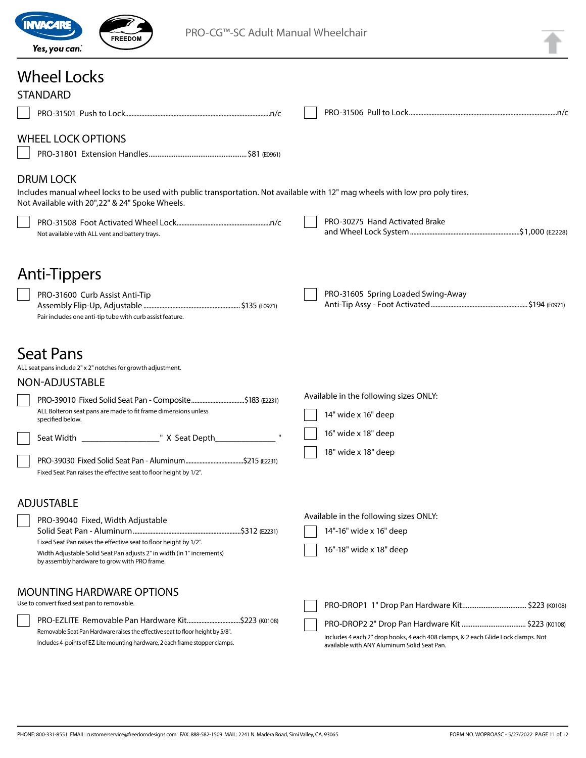

PRO-CG™-SC Adult Manual Wheelchair

## Wheel Locks

| <b>STANDARD</b>                                                                                                                                                                                      |                                                                                                                                  |  |
|------------------------------------------------------------------------------------------------------------------------------------------------------------------------------------------------------|----------------------------------------------------------------------------------------------------------------------------------|--|
|                                                                                                                                                                                                      |                                                                                                                                  |  |
| <b>WHEEL LOCK OPTIONS</b>                                                                                                                                                                            |                                                                                                                                  |  |
| <b>DRUM LOCK</b><br>Includes manual wheel locks to be used with public transportation. Not available with 12" mag wheels with low pro poly tires.<br>Not Available with 20", 22" & 24" Spoke Wheels. |                                                                                                                                  |  |
| Not available with ALL vent and battery trays.                                                                                                                                                       | PRO-30275 Hand Activated Brake                                                                                                   |  |
| Anti-Tippers                                                                                                                                                                                         |                                                                                                                                  |  |
| PRO-31600 Curb Assist Anti-Tip<br>Pair includes one anti-tip tube with curb assist feature.                                                                                                          | PRO-31605 Spring Loaded Swing-Away                                                                                               |  |
| <b>Seat Pans</b><br>ALL seat pans include 2" x 2" notches for growth adjustment.<br>NON-ADJUSTABLE                                                                                                   |                                                                                                                                  |  |
| PRO-39010 Fixed Solid Seat Pan - Composite\$183 (E2231)<br>ALL Bolteron seat pans are made to fit frame dimensions unless<br>specified below.                                                        | Available in the following sizes ONLY:<br>14" wide x 16" deep                                                                    |  |
|                                                                                                                                                                                                      | 16" wide x 18" deep                                                                                                              |  |
| Fixed Seat Pan raises the effective seat to floor height by 1/2".                                                                                                                                    | 18" wide x 18" deep                                                                                                              |  |
| <b>ADJUSTABLE</b>                                                                                                                                                                                    | Available in the following sizes ONLY:                                                                                           |  |
| PRO-39040 Fixed, Width Adjustable                                                                                                                                                                    | 14"-16" wide x 16" deep                                                                                                          |  |
| Fixed Seat Pan raises the effective seat to floor height by 1/2".<br>Width Adjustable Solid Seat Pan adjusts 2" in width (in 1" increments)<br>by assembly hardware to grow with PRO frame.          | 16"-18" wide x 18" deep                                                                                                          |  |
| <b>MOUNTING HARDWARE OPTIONS</b><br>Use to convert fixed seat pan to removable.                                                                                                                      |                                                                                                                                  |  |
| Removable Seat Pan Hardware raises the effective seat to floor height by 5/8".<br>Includes 4-points of EZ-Lite mounting hardware, 2 each frame stopper clamps.                                       | Includes 4 each 2" drop hooks, 4 each 408 clamps, & 2 each Glide Lock clamps. Not<br>available with ANY Aluminum Solid Seat Pan. |  |